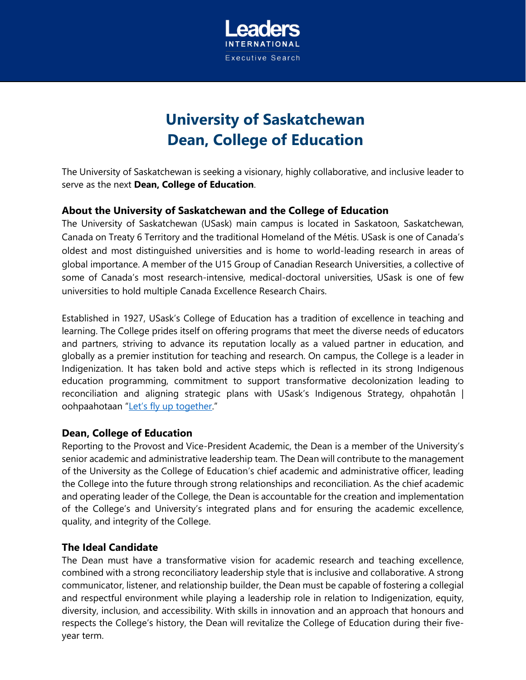

# **University of Saskatchewan Dean, College of Education**

The University of Saskatchewan is seeking a visionary, highly collaborative, and inclusive leader to serve as the next **Dean, College of Education**.

## **About the University of Saskatchewan and the College of Education**

The University of Saskatchewan (USask) main campus is located in Saskatoon, Saskatchewan, Canada on Treaty 6 Territory and the traditional Homeland of the Métis. USask is one of Canada's oldest and most distinguished universities and is home to world-leading research in areas of global importance. A member of the U15 Group of Canadian Research Universities, a collective of some of Canada's most research-intensive, medical-doctoral universities, USask is one of few universities to hold multiple Canada Excellence Research Chairs.

Established in 1927, USask's College of Education has a tradition of excellence in teaching and learning. The College prides itself on offering programs that meet the diverse needs of educators and partners, striving to advance its reputation locally as a valued partner in education, and globally as a premier institution for teaching and research. On campus, the College is a leader in Indigenization. It has taken bold and active steps which is reflected in its strong Indigenous education programming, commitment to support transformative decolonization leading to reconciliation and aligning strategic plans with USask's Indigenous Strategy, ohpahotân | oohpaahotaan "[Let's fly up together.](https://indigenous.usask.ca/documents/lets-fly-up-together.pdf)"

## **Dean, College of Education**

Reporting to the Provost and Vice-President Academic, the Dean is a member of the University's senior academic and administrative leadership team. The Dean will contribute to the management of the University as the College of Education's chief academic and administrative officer, leading the College into the future through strong relationships and reconciliation. As the chief academic and operating leader of the College, the Dean is accountable for the creation and implementation of the College's and University's integrated plans and for ensuring the academic excellence, quality, and integrity of the College.

## **The Ideal Candidate**

The Dean must have a transformative vision for academic research and teaching excellence, combined with a strong reconciliatory leadership style that is inclusive and collaborative. A strong communicator, listener, and relationship builder, the Dean must be capable of fostering a collegial and respectful environment while playing a leadership role in relation to Indigenization, equity, diversity, inclusion, and accessibility. With skills in innovation and an approach that honours and respects the College's history, the Dean will revitalize the College of Education during their fiveyear term.